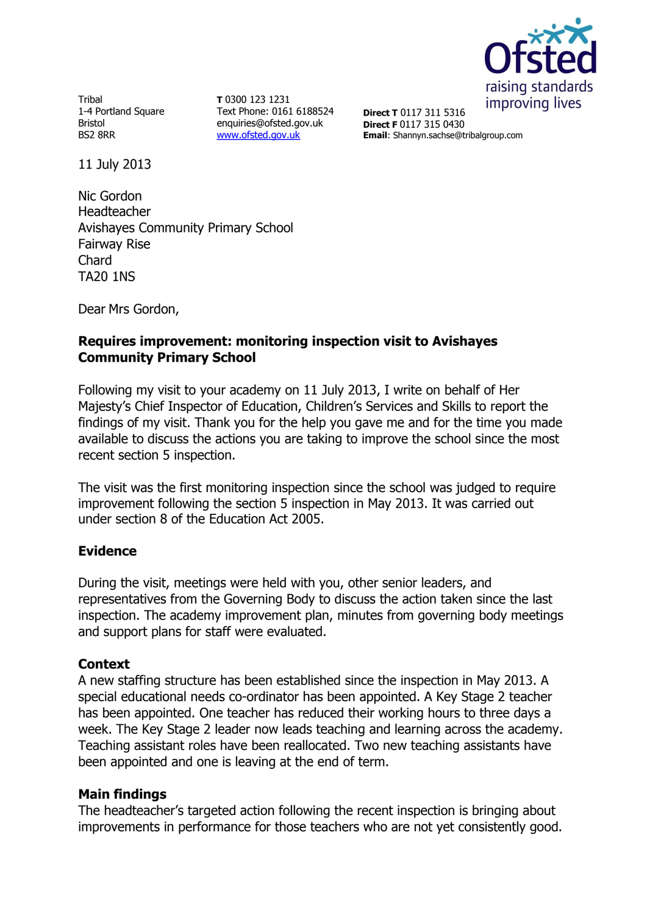

Tribal 1-4 Portland Square Bristol BS2 8RR

**T** 0300 123 1231 Text Phone: 0161 6188524 enquiries@ofsted.gov.uk [www.ofsted.gov.uk](http://www.ofsted.gov.uk/)

**Direct T** 0117 311 5316 **Direct F** 0117 315 0430 **Email**: Shannyn.sachse@tribalgroup.com

11 July 2013

Nic Gordon Headteacher Avishayes Community Primary School Fairway Rise Chard TA20 1NS

Dear Mrs Gordon,

## **Requires improvement: monitoring inspection visit to Avishayes Community Primary School**

Following my visit to your academy on 11 July 2013, I write on behalf of Her Majesty's Chief Inspector of Education, Children's Services and Skills to report the findings of my visit. Thank you for the help you gave me and for the time you made available to discuss the actions you are taking to improve the school since the most recent section 5 inspection.

The visit was the first monitoring inspection since the school was judged to require improvement following the section 5 inspection in May 2013. It was carried out under section 8 of the Education Act 2005.

## **Evidence**

During the visit, meetings were held with you, other senior leaders, and representatives from the Governing Body to discuss the action taken since the last inspection. The academy improvement plan, minutes from governing body meetings and support plans for staff were evaluated.

## **Context**

A new staffing structure has been established since the inspection in May 2013. A special educational needs co-ordinator has been appointed. A Key Stage 2 teacher has been appointed. One teacher has reduced their working hours to three days a week. The Key Stage 2 leader now leads teaching and learning across the academy. Teaching assistant roles have been reallocated. Two new teaching assistants have been appointed and one is leaving at the end of term.

## **Main findings**

The headteacher's targeted action following the recent inspection is bringing about improvements in performance for those teachers who are not yet consistently good.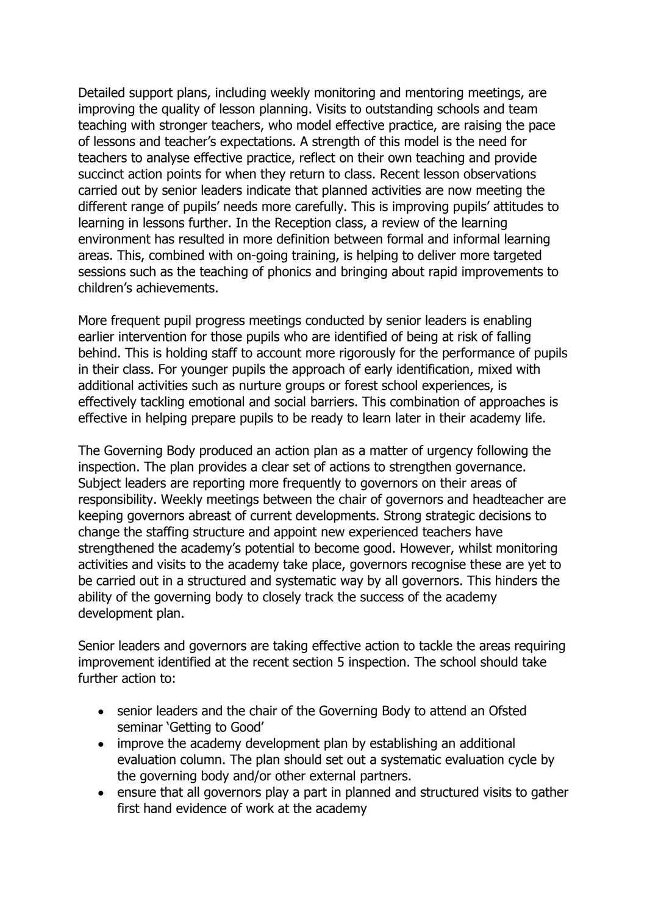Detailed support plans, including weekly monitoring and mentoring meetings, are improving the quality of lesson planning. Visits to outstanding schools and team teaching with stronger teachers, who model effective practice, are raising the pace of lessons and teacher's expectations. A strength of this model is the need for teachers to analyse effective practice, reflect on their own teaching and provide succinct action points for when they return to class. Recent lesson observations carried out by senior leaders indicate that planned activities are now meeting the different range of pupils' needs more carefully. This is improving pupils' attitudes to learning in lessons further. In the Reception class, a review of the learning environment has resulted in more definition between formal and informal learning areas. This, combined with on-going training, is helping to deliver more targeted sessions such as the teaching of phonics and bringing about rapid improvements to children's achievements.

More frequent pupil progress meetings conducted by senior leaders is enabling earlier intervention for those pupils who are identified of being at risk of falling behind. This is holding staff to account more rigorously for the performance of pupils in their class. For younger pupils the approach of early identification, mixed with additional activities such as nurture groups or forest school experiences, is effectively tackling emotional and social barriers. This combination of approaches is effective in helping prepare pupils to be ready to learn later in their academy life.

The Governing Body produced an action plan as a matter of urgency following the inspection. The plan provides a clear set of actions to strengthen governance. Subject leaders are reporting more frequently to governors on their areas of responsibility. Weekly meetings between the chair of governors and headteacher are keeping governors abreast of current developments. Strong strategic decisions to change the staffing structure and appoint new experienced teachers have strengthened the academy's potential to become good. However, whilst monitoring activities and visits to the academy take place, governors recognise these are yet to be carried out in a structured and systematic way by all governors. This hinders the ability of the governing body to closely track the success of the academy development plan.

Senior leaders and governors are taking effective action to tackle the areas requiring improvement identified at the recent section 5 inspection. The school should take further action to:

- senior leaders and the chair of the Governing Body to attend an Ofsted seminar 'Getting to Good'
- improve the academy development plan by establishing an additional evaluation column. The plan should set out a systematic evaluation cycle by the governing body and/or other external partners.
- ensure that all governors play a part in planned and structured visits to gather first hand evidence of work at the academy